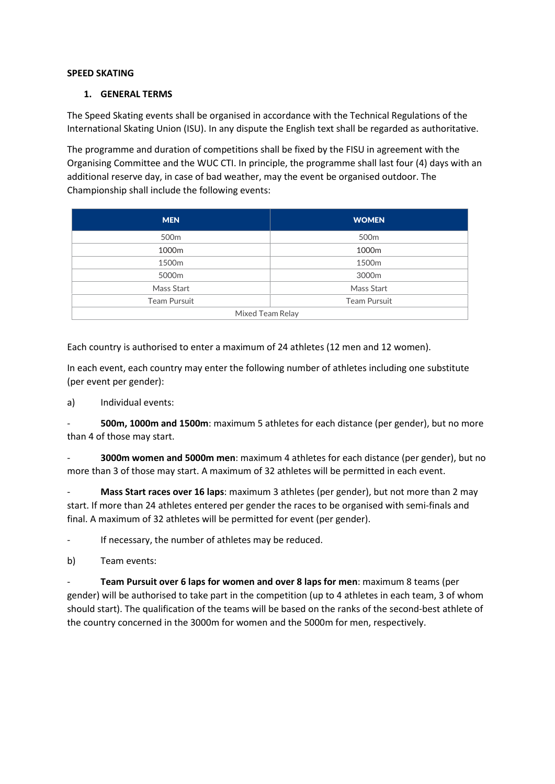### **SPEED SKATING**

### **1. GENERAL TERMS**

The Speed Skating events shall be organised in accordance with the Technical Regulations of the International Skating Union (ISU). In any dispute the English text shall be regarded as authoritative.

The programme and duration of competitions shall be fixed by the FISU in agreement with the Organising Committee and the WUC CTI. In principle, the programme shall last four (4) days with an additional reserve day, in case of bad weather, may the event be organised outdoor. The Championship shall include the following events:

| <b>MEN</b>        | <b>WOMEN</b>      |
|-------------------|-------------------|
| 500 <sub>m</sub>  | 500 <sub>m</sub>  |
| 1000m             | 1000m             |
| 1500 <sub>m</sub> | 1500 <sub>m</sub> |
| 5000m             | 3000m             |
| Mass Start        | Mass Start        |
| Team Pursuit      | Team Pursuit      |
| Mixed Team Relay  |                   |

Each country is authorised to enter a maximum of 24 athletes (12 men and 12 women).

In each event, each country may enter the following number of athletes including one substitute (per event per gender):

a) Individual events:

- **500m, 1000m and 1500m**: maximum 5 athletes for each distance (per gender), but no more than 4 of those may start.

- **3000m women and 5000m men**: maximum 4 athletes for each distance (per gender), but no more than 3 of those may start. A maximum of 32 athletes will be permitted in each event.

- **Mass Start races over 16 laps**: maximum 3 athletes (per gender), but not more than 2 may start. If more than 24 athletes entered per gender the races to be organised with semi-finals and final. A maximum of 32 athletes will be permitted for event (per gender).

- If necessary, the number of athletes may be reduced.

b) Team events:

**Team Pursuit over 6 laps for women and over 8 laps for men**: maximum 8 teams (per gender) will be authorised to take part in the competition (up to 4 athletes in each team, 3 of whom should start). The qualification of the teams will be based on the ranks of the second-best athlete of the country concerned in the 3000m for women and the 5000m for men, respectively.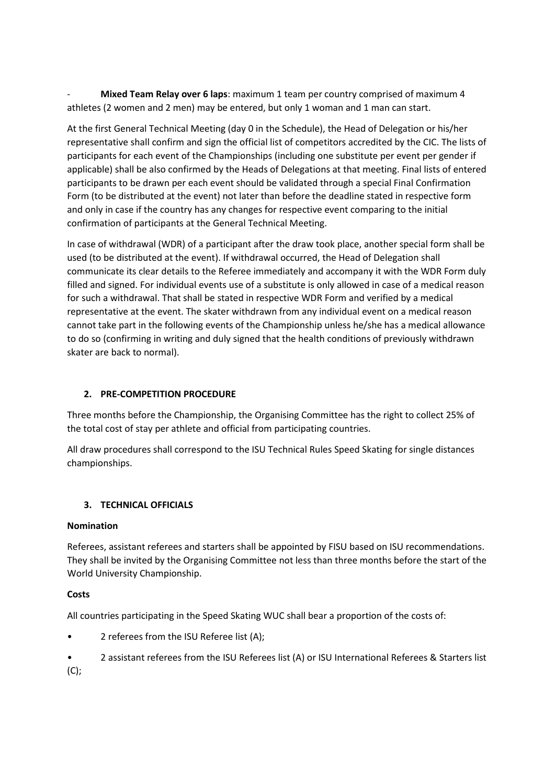- **Mixed Team Relay over 6 laps**: maximum 1 team per country comprised of maximum 4 athletes (2 women and 2 men) may be entered, but only 1 woman and 1 man can start.

At the first General Technical Meeting (day 0 in the Schedule), the Head of Delegation or his/her representative shall confirm and sign the official list of competitors accredited by the CIC. The lists of participants for each event of the Championships (including one substitute per event per gender if applicable) shall be also confirmed by the Heads of Delegations at that meeting. Final lists of entered participants to be drawn per each event should be validated through a special Final Confirmation Form (to be distributed at the event) not later than before the deadline stated in respective form and only in case if the country has any changes for respective event comparing to the initial confirmation of participants at the General Technical Meeting.

In case of withdrawal (WDR) of a participant after the draw took place, another special form shall be used (to be distributed at the event). If withdrawal occurred, the Head of Delegation shall communicate its clear details to the Referee immediately and accompany it with the WDR Form duly filled and signed. For individual events use of a substitute is only allowed in case of a medical reason for such a withdrawal. That shall be stated in respective WDR Form and verified by a medical representative at the event. The skater withdrawn from any individual event on a medical reason cannot take part in the following events of the Championship unless he/she has a medical allowance to do so (confirming in writing and duly signed that the health conditions of previously withdrawn skater are back to normal).

# **2. PRE-COMPETITION PROCEDURE**

Three months before the Championship, the Organising Committee has the right to collect 25% of the total cost of stay per athlete and official from participating countries.

All draw procedures shall correspond to the ISU Technical Rules Speed Skating for single distances championships.

# **3. TECHNICAL OFFICIALS**

# **Nomination**

Referees, assistant referees and starters shall be appointed by FISU based on ISU recommendations. They shall be invited by the Organising Committee not less than three months before the start of the World University Championship.

# **Costs**

All countries participating in the Speed Skating WUC shall bear a proportion of the costs of:

- 2 referees from the ISU Referee list (A);
- 2 assistant referees from the ISU Referees list (A) or ISU International Referees & Starters list  $(C)$ ;